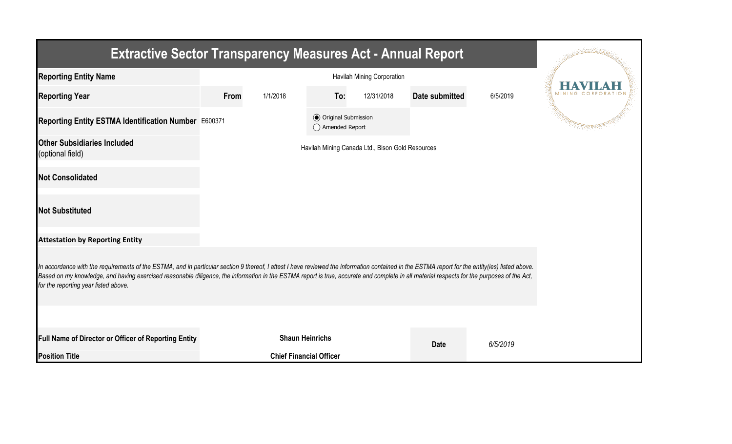| <b>Extractive Sector Transparency Measures Act - Annual Report</b>                                                                                                                                                                                                                                                                                                                                                                    |      |          |                                                  |                                                  |                       |          |  |
|---------------------------------------------------------------------------------------------------------------------------------------------------------------------------------------------------------------------------------------------------------------------------------------------------------------------------------------------------------------------------------------------------------------------------------------|------|----------|--------------------------------------------------|--------------------------------------------------|-----------------------|----------|--|
| <b>Reporting Entity Name</b>                                                                                                                                                                                                                                                                                                                                                                                                          |      |          |                                                  |                                                  |                       |          |  |
| <b>Reporting Year</b>                                                                                                                                                                                                                                                                                                                                                                                                                 | From | 1/1/2018 | To:                                              | 12/31/2018                                       | <b>Date submitted</b> | 6/5/2019 |  |
| Reporting Entity ESTMA Identification Number E600371                                                                                                                                                                                                                                                                                                                                                                                  |      |          | <b>◎</b> Original Submission<br>◯ Amended Report |                                                  |                       |          |  |
| <b>Other Subsidiaries Included</b><br>(optional field)                                                                                                                                                                                                                                                                                                                                                                                |      |          |                                                  | Havilah Mining Canada Ltd., Bison Gold Resources |                       |          |  |
| <b>Not Consolidated</b>                                                                                                                                                                                                                                                                                                                                                                                                               |      |          |                                                  |                                                  |                       |          |  |
| <b>Not Substituted</b>                                                                                                                                                                                                                                                                                                                                                                                                                |      |          |                                                  |                                                  |                       |          |  |
| <b>Attestation by Reporting Entity</b>                                                                                                                                                                                                                                                                                                                                                                                                |      |          |                                                  |                                                  |                       |          |  |
| In accordance with the requirements of the ESTMA, and in particular section 9 thereof, I attest I have reviewed the information contained in the ESTMA report for the entity(ies) listed above.<br>Based on my knowledge, and having exercised reasonable diligence, the information in the ESTMA report is true, accurate and complete in all material respects for the purposes of the Act,<br>for the reporting year listed above. |      |          |                                                  |                                                  |                       |          |  |
|                                                                                                                                                                                                                                                                                                                                                                                                                                       |      |          |                                                  |                                                  |                       |          |  |
| Full Name of Director or Officer of Reporting Entity                                                                                                                                                                                                                                                                                                                                                                                  |      |          | <b>Shaun Heinrichs</b>                           |                                                  | <b>Date</b>           | 6/5/2019 |  |
| <b>Position Title</b>                                                                                                                                                                                                                                                                                                                                                                                                                 |      |          | <b>Chief Financial Officer</b>                   |                                                  |                       |          |  |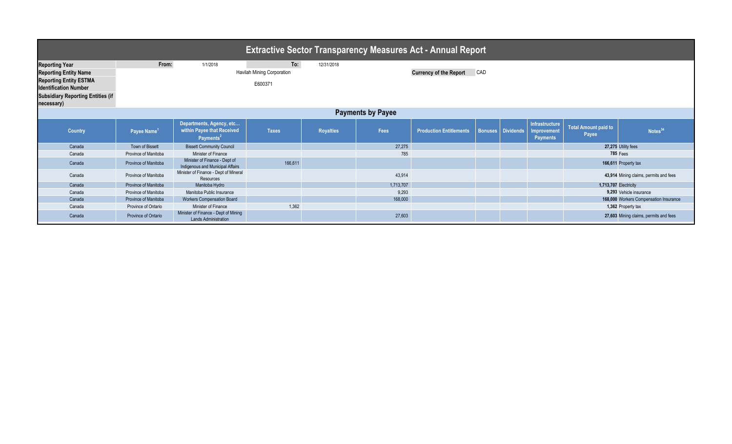| <b>Extractive Sector Transparency Measures Act - Annual Report</b> |                         |                                                                                 |              |                  |           |                                      |  |                   |                                                         |                                      |                                        |  |  |
|--------------------------------------------------------------------|-------------------------|---------------------------------------------------------------------------------|--------------|------------------|-----------|--------------------------------------|--|-------------------|---------------------------------------------------------|--------------------------------------|----------------------------------------|--|--|
| <b>Reporting Year</b>                                              | From:                   | 1/1/2018                                                                        | To:          | 12/31/2018       |           |                                      |  |                   |                                                         |                                      |                                        |  |  |
| <b>Reporting Entity Name</b>                                       |                         | Havilah Mining Corporation                                                      |              |                  |           | CAD<br><b>Currency of the Report</b> |  |                   |                                                         |                                      |                                        |  |  |
| <b>Reporting Entity ESTMA</b>                                      |                         |                                                                                 |              |                  |           |                                      |  |                   |                                                         |                                      |                                        |  |  |
| <b>Identification Number</b>                                       | E600371                 |                                                                                 |              |                  |           |                                      |  |                   |                                                         |                                      |                                        |  |  |
| <b>Subsidiary Reporting Entities (if</b>                           |                         |                                                                                 |              |                  |           |                                      |  |                   |                                                         |                                      |                                        |  |  |
| necessary)                                                         |                         |                                                                                 |              |                  |           |                                      |  |                   |                                                         |                                      |                                        |  |  |
| <b>Payments by Payee</b>                                           |                         |                                                                                 |              |                  |           |                                      |  |                   |                                                         |                                      |                                        |  |  |
| <b>Country</b>                                                     | Payee Name <sup>1</sup> | Departments, Agency, etc<br>within Payee that Received<br>Payments <sup>2</sup> | <b>Taxes</b> | <b>Royalties</b> | Fees      | Production Entitlements              |  | Bonuses Dividends | Infrastructure<br><b>Improvement</b><br><b>Payments</b> | <b>Total Amount paid to</b><br>Payee | Notes <sup>34</sup>                    |  |  |
| Canada                                                             | Town of Bissett         | <b>Bissett Community Council</b>                                                |              |                  | 27,275    |                                      |  |                   |                                                         |                                      | 27,275 Utility fees                    |  |  |
| Canada                                                             | Province of Manitoba    | Minister of Finance                                                             |              |                  | 785       |                                      |  |                   |                                                         |                                      | 785 Fees                               |  |  |
| Canada                                                             | Province of Manitoba    | Minister of Finance - Dept of<br>Indigenous and Municipal Affairs               | 166,611      |                  |           |                                      |  |                   |                                                         |                                      | 166,611 Property tax                   |  |  |
| Canada                                                             | Province of Manitoba    | Minister of Finance - Dept of Mineral<br>Resources                              |              |                  | 43,914    |                                      |  |                   |                                                         |                                      | 43,914 Mining claims, permits and fees |  |  |
| Canada                                                             | Province of Manitoba    | Manitoba Hydro                                                                  |              |                  | 1,713,707 |                                      |  |                   |                                                         | 1,713,707 Electricity                |                                        |  |  |
| Canada                                                             | Province of Manitoba    | Manitoba Public Insurance                                                       |              |                  | 9,293     |                                      |  |                   |                                                         |                                      | 9.293 Vehicle insurance                |  |  |
| Canada                                                             | Province of Manitoba    | <b>Workers Compensation Board</b>                                               |              |                  | 168,000   |                                      |  |                   |                                                         |                                      | 168,000 Workers Compensation Insurance |  |  |
| Canada                                                             | Province of Ontario     | Minister of Finance                                                             | 1,362        |                  |           |                                      |  |                   |                                                         |                                      | 1,362 Property tax                     |  |  |
| Canada                                                             | Province of Ontario     | Minister of Finance - Dept of Mining<br><b>Lands Administration</b>             |              |                  | 27,603    |                                      |  |                   |                                                         |                                      | 27,603 Mining claims, permits and fees |  |  |